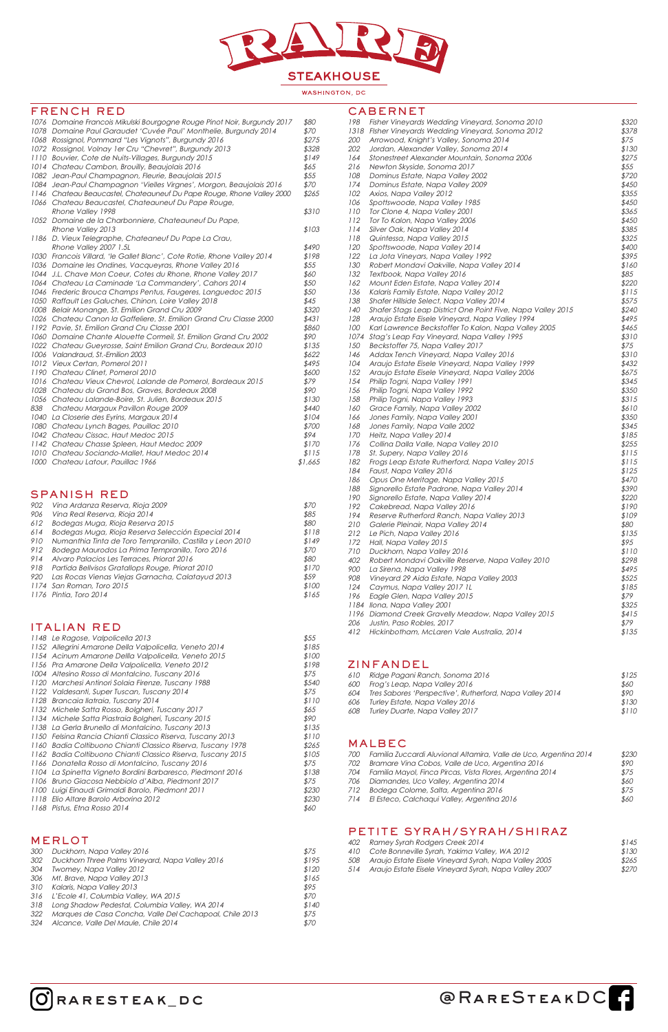

### WASHINGTON, DC

## FRENCH RED

|     | 1076 Domaine Francois Mikulski Bourgogne Rouge Pinot Noir, Burgundy 2017 | \$80    |
|-----|--------------------------------------------------------------------------|---------|
|     | 1078 Domaine Paul Garaudet 'Cuvée Paul' Monthelie, Burgundy 2014         | \$70    |
|     | 1068 Rossignol, Pommard "Les Vignots", Burgundy 2016                     | \$275   |
|     | 1072 Rossignol, Volnay 1er Cru "Chevret", Burgundy 2013                  | \$328   |
|     | 1110 Bouvier, Cote de Nuits-Villages, Burgundy 2015                      | \$149   |
|     | 1014 Chateau Cambon, Brouilly, Beaujolais 2016                           | \$65    |
|     | 1082 Jean-Paul Champagnon, Fleurie, Beaujolais 2015                      | \$55    |
|     | 1084 Jean-Paul Champagnon 'Vielles Virgnes', Morgon, Beaujolais 2016     | \$70    |
|     | 1146 Chateau Beaucastel, Chateauneuf Du Pape Rouge, Rhone Valley 2000    | \$265   |
|     | 1066 Chateau Beaucastel, Chateauneuf Du Pape Rouge,                      |         |
|     | Rhone Valley 1998                                                        | \$310   |
|     | 1052 Domaine de la Charbonniere, Chateauneuf Du Pape,                    |         |
|     | Rhone Valley 2013                                                        | \$103   |
|     | 1186 D. Vieux Telegraphe, Chateaneuf Du Pape La Crau,                    |         |
|     | Rhone Valley 2007 1.5L                                                   | \$490   |
|     | 1030 Francois Villard, 'le Gallet Blanc', Cote Rotie, Rhone Valley 2014  | \$198   |
|     | 1036 Domaine les Ondines, Vacqueyras, Rhone Valley 2016                  | \$55    |
|     | 1044 J.L. Chave Mon Coeur, Cotes du Rhone, Rhone Valley 2017             | \$60    |
|     | 1064 Chateau La Caminade 'La Commandery', Cahors 2014                    | \$50    |
|     | 1046 Frederic Brouca Champs Pentus, Faugeres, Languedoc 2015             | \$50    |
|     | 1050 Raffault Les Galuches, Chinon, Loire Valley 2018                    | \$45    |
|     | 1008 Belair Monange, St. Emilion Grand Cru 2009                          | \$320   |
|     | 1026 Chateau Canon la Gaffeliere, St. Emilion Grand Cru Classe 2000      | \$431   |
|     | 1192 Pavie, St. Emilion Grand Cru Classe 2001                            | \$860   |
|     | 1060 Domaine Chante Alouette Cormeil, St. Emilion Grand Cru 2002         | \$90    |
|     | 1022 Chateau Gueyrosse, Saint Emilion Grand Cru, Bordeaux 2010           | \$135   |
|     | 1006 Valandraud, St.-Emilion 2003                                        | \$622   |
|     | 1012 Vieux Certan, Pomerol 2011                                          | \$495   |
|     | 1190 Chateau Clinet, Pomerol 2010                                        | \$600   |
|     | 1016 Chateau Vieux Chevrol, Lalande de Pomerol, Bordeaux 2015            | \$79    |
|     | 1028 Chateau du Grand Bos, Graves, Bordeaux 2008                         | \$90    |
|     | 1056 Chateau Lalande-Boire, St. Julien, Bordeaux 2015                    | \$130   |
| 838 | Chateau Margaux Pavillon Rouge 2009                                      | \$440   |
|     | 1040 La Closerie des Eyrins, Margaux 2014                                | \$104   |
|     | 1080 Chateau Lynch Bages, Pauillac 2010                                  | \$700   |
|     | 1042 Chateau Cissac, Haut Medoc 2015                                     | \$94    |
|     | 1142 Chateau Chasse Spleen, Haut Medoc 2009                              | \$170   |
|     | 1010 Chateau Sociando-Mallet, Haut Medoc 2014                            | \$115   |
|     | 1000 Chateau Latour, Pauillac 1966                                       | \$1,665 |
|     |                                                                          |         |
|     |                                                                          |         |

### SPANISH RED

| 902 | Vina Ardanza Reserva, Rioja 2009                          | \$70  |
|-----|-----------------------------------------------------------|-------|
| 906 | Vina Real Reserva, Rioja 2014                             | \$85  |
| 612 | Bodegas Muga, Rioja Reserva 2015                          | \$80  |
| 614 | Bodegas Muga, Rioja Reserva Selección Especial 2014       | \$118 |
| 910 | Numanthia Tinta de Toro Tempranillo, Castilla y Leon 2010 | \$149 |
| 912 | Bodega Maurodos La Prima Tempranillo, Toro 2016           | \$70  |
| 914 | Alvaro Palacios Les Terraces, Priorat 2016                | \$80  |
| 918 | Partida Bellvisos Gratallops Rouge, Priorat 2010          | \$170 |
| 920 | Las Rocas Vienas Viejas Garnacha, Calatayud 2013          | \$59  |
|     | 1174 San Roman, Toro 2015                                 | \$100 |
|     | 1176 Pintia, Toro 2014                                    | \$165 |
|     |                                                           |       |

## ITALIAN RED

|  | 1148 Le Ragose, Valpolicella 2013                            | \$55  |
|--|--------------------------------------------------------------|-------|
|  | 1152 Allegrini Amarone Della Valpolicella, Veneto 2014       | \$185 |
|  | 1154 Acinum Amarone Dellla Valpolicella, Veneto 2015         | \$100 |
|  | 1156 Pra Amarone Della Valpolicella, Veneto 2012             | \$198 |
|  | 1004 Altesino Rosso di Montalcino, Tuscany 2016              | \$75  |
|  | 1120 Marchesi Antinori Solaia Firenze, Tuscany 1988          | \$540 |
|  | 1122 Valdesanti, Super Tuscan, Tuscany 2014                  | \$75  |
|  | 1128 Brancaia Ilatraia, Tuscany 2014                         | \$110 |
|  | 1132 Michele Satta Rosso, Bolgheri, Tuscany 2017             | \$65  |
|  | 1134 Michele Satta Piastraia Bolgheri, Tuscany 2015          | \$90  |
|  | 1138 La Gerla Brunello di Montalcino, Tuscany 2013           | \$135 |
|  | 1150 Felsina Rancia Chianti Classico Riserva, Tuscany 2013   | \$110 |
|  | 1160 Badia Coltibuono Chianti Classico Riserva, Tuscany 1978 | \$265 |
|  |                                                              |       |

1162 Badia Coltibuono Chianti Classico Riserva, Tuscany 2015 \$105

| 1166 Donatella Rosso di Montalcino, Tuscany 2016           | \$75  |
|------------------------------------------------------------|-------|
| 1104 La Spinetta Vigneto Bordini Barbaresco, Piedmont 2016 | \$138 |
| 1106 Bruno Giacosa Nebbiolo d'Alba, Piedmont 2017          | \$75  |
| 1100 Luigi Einaudi Grimaldi Barolo, Piedmont 2011          | \$230 |
| 1118 Elio Altare Barolo Arborina 2012                      | \$230 |
| 1168 Pistus, Etna Rosso 2014                               | 860   |

# MERLOT

| 300 | Duckhorn, Napa Valley 2016                              | \$75  |
|-----|---------------------------------------------------------|-------|
| 302 | Duckhorn Three Palms Vineyard, Napa Valley 2016         | \$195 |
| 304 | <b>Twomey, Napa Valley 2012</b>                         | \$120 |
|     | 306 Mt. Brave, Napa Valley 2013                         | \$165 |
|     | 310 Kalaris, Napa Valley 2013                           | \$95  |
|     | 316 L'Ecole 41, Columbia Valley, WA 2015                | \$70  |
| 318 | Long Shadow Pedestal, Columbia Valley, WA 2014          | \$140 |
| 322 | Marques de Casa Concha, Valle Del Cachapoal, Chile 2013 | \$75  |
| 324 | Alcance, Valle Del Maule, Chile 2014                    | \$70  |

# CABERNET

| 198        | Fisher Vineyards Wedding Vineyard, Sonoma 2010              | \$320 |
|------------|-------------------------------------------------------------|-------|
|            | 1318 Flsher Vineyards Wedding Vineyard, Sonoma 2012         | \$378 |
| <i>200</i> | Arrowood, Knight's Valley, Sonoma 2014                      | \$75  |
| 202        | Jordan, Alexander Valley, Sonoma 2014                       | \$130 |
| 164        | Stonestreet Alexander Mountain, Sonoma 2006                 | \$275 |
| 216        | Newton Skyside, Sonoma 2017                                 | \$55  |
| 108        | Dominus Estate, Napa Valley 2002                            | \$720 |
| 174        | Dominus Estate, Napa Valley 2009                            | \$450 |
| 102        | Axios, Napa Valley 2012                                     | \$355 |
| 106        | Spottswoode, Napa Valley 1985                               | \$450 |
| 110        | Tor Clone 4, Napa Valley 2001                               | \$365 |
| 112        | Tor To Kalon, Napa Valley 2006                              | \$450 |
| 114        | Silver Oak, Napa Valley 2014                                | \$385 |
| 118        | Quintessa, Napa Valley 2015                                 | \$325 |
| 120        | Spottswoode, Napa Valley 2014                               | \$400 |
| 122        | La Jota Vineyars, Napa Valley 1992                          | \$395 |
| 130        | Robert Mondavi Oakville, Napa Valley 2014                   | \$160 |
| 132        | Textbook, Napa Valley 2016                                  | \$85  |
| 162        | Mount Eden Estate, Napa Valley 2014                         | \$220 |
| 136        | Kalaris Family Estate, Napa Valley 2012                     | \$115 |
| 138        | Shafer Hillside Select, Napa Valley 2014                    | \$575 |
| 140        | Shafer Stags Leap District One Point Five, Napa Valley 2015 | \$240 |
| 128        |                                                             |       |
| 100        | Araujo Estate Eisele Vineyard, Napa Valley 1994             | \$495 |
| 1074       | Karl Lawrence Beckstoffer To Kalon, Napa Valley 2005        | \$465 |
|            | Stag's Leap Fay Vineyard, Napa Valley 1995                  | \$310 |
| 150        | Beckstoffer 75, Napa Valley 2017                            | \$75  |
| 146        | Addax Tench Vineyard, Napa Valley 2016                      | \$310 |
| 104        | Araujo Estate Eisele Vineyard, Napa Valley 1999             | \$432 |
| 152        | Araujo Estate Eisele Vineyard, Napa Valley 2006             | \$675 |
| 154        | Philip Togni, Napa Valley 1991                              | \$345 |
| 156        | Philip Togni, Napa Valley 1992                              | \$350 |
| 158        | Philip Togni, Napa Valley 1993                              | \$315 |
| 160        | Grace Family, Napa Valley 2002                              | \$610 |
| 166        | Jones Family, Napa Valley 2001                              | \$350 |
| 168        | Jones Family, Napa Valle 2002                               | \$345 |
| 170        | Heitz, Napa Valley 2014                                     | \$185 |
| 176        | Collina Dalla Valle, Napa Valley 2010                       | \$255 |
| 178        | St. Supery, Napa Valley 2016                                | \$115 |
| 182        | Frogs Leap Estate Rutherford, Napa Valley 2015              | \$115 |
| 184        | Faust, Napa Valley 2016                                     | \$125 |
| 186        | Opus One Meritage, Napa Valley 2015                         | \$470 |
| 188        | Signorello Estate Padrone, Napa Valley 2014                 | \$390 |
| 190        | Signorello Estate, Napa Valley 2014                         | \$220 |
| 192        | Cakebread, Napa Valley 2016                                 | \$190 |
| 194        | Reserve Rutherford Ranch, Napa Valley 2013                  | \$109 |
| 210        | Galerie Pleinair, Napa Valley 2014                          | \$80  |
| 212        | Le Pich, Napa Valley 2016                                   | \$135 |
| 172        | Hall, Napa Valley 2015                                      | \$95  |
| 710        | Duckhorn, Napa Valley 2016                                  | \$110 |
| 402        | Robert Mondavi Oakville Reserve, Napa Valley 2010           | \$298 |
| 900        | La Sirena, Napa Valley 1998                                 | \$495 |
| 908        | Vineyard 29 Aida Estate, Napa Valley 2003                   | \$525 |
| 124        | Caymus, Napa Valley 2017 1L                                 | \$185 |
| 196        | Eagle Glen, Napa Valley 2015                                | \$79  |
|            | 1184 Ilona, Napa Valley 2001                                | \$325 |
| 1196       | Diamond Creek Gravelly Meadow, Napa Valley 2015             | \$415 |
| 206        | Justin, Paso Robles, 2017                                   | \$79  |
| 412        | Hickinbotham, McLaren Vale Australia, 2014                  | \$135 |
|            |                                                             |       |

### ZINFANDEL

| 610 | Ridge Pagani Ranch, Sonoma 2016                          | \$125 |
|-----|----------------------------------------------------------|-------|
| 600 | Frog's Leap, Napa Valley 2016                            | \$60  |
| 604 | Tres Sabores 'Perspective', Rutherford, Napa Valley 2014 | \$90  |
| 606 | Turley Estate, Napa Valley 2016                          | \$130 |
| 608 | Turley Duarte, Napa Valley 2017                          | \$110 |
|     |                                                          |       |

### MALBEC

| 700 | Familia Zuccardi Aluvional Altamira, Valle de Uco, Argentina 2014 | \$230 |
|-----|-------------------------------------------------------------------|-------|
|     |                                                                   |       |

| Bramare Vina Cobos, Valle de Uco, Argentina 2016          | \$90 |
|-----------------------------------------------------------|------|
| Familia Mayol, Finca Pircas, Vista Flores, Argentina 2014 | \$75 |
| Diamandes, Uco Valley, Argentina 2014                     | \$60 |
| Bodega Colome, Salta, Argentina 2016                      | \$75 |
| El Esteco, Calchagui Valley, Argentina 2016               | \$60 |
|                                                           |      |

# PETITE SYRAH/SYRAH/SHIRAZ

| 402 | Ramey Syrah Rodgers Creek 2014                            | \$145 |
|-----|-----------------------------------------------------------|-------|
|     | 410 Cote Bonneville Syrah, Yakima Valley, WA 2012         | \$130 |
|     | 508 Araujo Estate Eisele Vineyard Syrah, Napa Valley 2005 | \$265 |
|     | 514 Araujo Estate Eisele Vineyard Syrah, Napa Valley 2007 | \$270 |